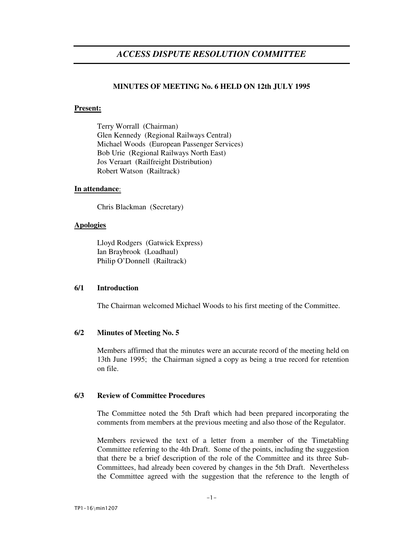# *ACCESS DISPUTE RESOLUTION COMMITTEE*

# **MINUTES OF MEETING No. 6 HELD ON 12th JULY 1995**

# **Present:**

Terry Worrall (Chairman) Glen Kennedy (Regional Railways Central) Michael Woods (European Passenger Services) Bob Urie (Regional Railways North East) Jos Veraart (Railfreight Distribution) Robert Watson (Railtrack)

# **In attendance**:

Chris Blackman (Secretary)

# **Apologies**

Lloyd Rodgers (Gatwick Express) Ian Braybrook (Loadhaul) Philip O'Donnell (Railtrack)

# **6/1 Introduction**

The Chairman welcomed Michael Woods to his first meeting of the Committee.

# **6/2 Minutes of Meeting No. 5**

Members affirmed that the minutes were an accurate record of the meeting held on 13th June 1995; the Chairman signed a copy as being a true record for retention on file.

# **6/3 Review of Committee Procedures**

The Committee noted the 5th Draft which had been prepared incorporating the comments from members at the previous meeting and also those of the Regulator.

Members reviewed the text of a letter from a member of the Timetabling Committee referring to the 4th Draft. Some of the points, including the suggestion that there be a brief description of the role of the Committee and its three Sub-Committees, had already been covered by changes in the 5th Draft. Nevertheless the Committee agreed with the suggestion that the reference to the length of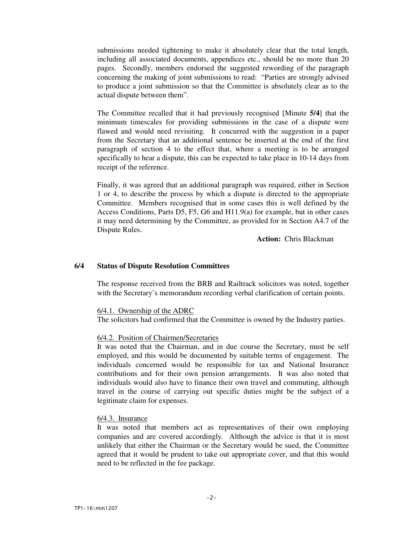submissions needed tightening to make it absolutely clear that the total length, including all associated documents, appendices etc., should be no more than 20 pages. Secondly, members endorsed the suggested rewording of the paragraph concerning the making of joint submissions to read: "Parties are strongly advised to produce a joint submission so that the Committee is absolutely clear as to the actual dispute between them".

The Committee recalled that it had previously recognised [Minute **5/4**] that the minimum timescales for providing submissions in the case of a dispute were flawed and would need revisiting. It concurred with the suggestion in a paper from the Secretary that an additional sentence be inserted at the end of the first paragraph of section 4 to the effect that, where a meeting is to be arranged specifically to hear a dispute, this can be expected to take place in 10-14 days from receipt of the reference.

Finally, it was agreed that an additional paragraph was required, either in Section 1 or 4, to describe the process by which a dispute is directed to the appropriate Committee. Members recognised that in some cases this is well defined by the Access Conditions, Parts D5, F5, G6 and H11.9(a) for example, but in other cases it may need determining by the Committee, as provided for in Section A4.7 of the Dispute Rules.

**Action:** Chris Blackman

### **6/4 Status of Dispute Resolution Committees**

The response received from the BRB and Railtrack solicitors was noted, together with the Secretary's memorandum recording verbal clarification of certain points.

#### 6/4.1. Ownership of the ADRC

The solicitors had confirmed that the Committee is owned by the Industry parties.

#### 6/4.2. Position of Chairmen/Secretaries

It was noted that the Chairman, and in due course the Secretary, must be self employed, and this would be documented by suitable terms of engagement. The individuals concerned would be responsible for tax and National Insurance contributions and for their own pension arrangements. It was also noted that individuals would also have to finance their own travel and commuting, although travel in the course of carrying out specific duties might be the subject of a legitimate claim for expenses.

#### 6/4.3. Insurance

It was noted that members act as representatives of their own employing companies and are covered accordingly. Although the advice is that it is most unlikely that either the Chairman or the Secretary would be sued, the Committee agreed that it would be prudent to take out appropriate cover, and that this would need to be reflected in the fee package.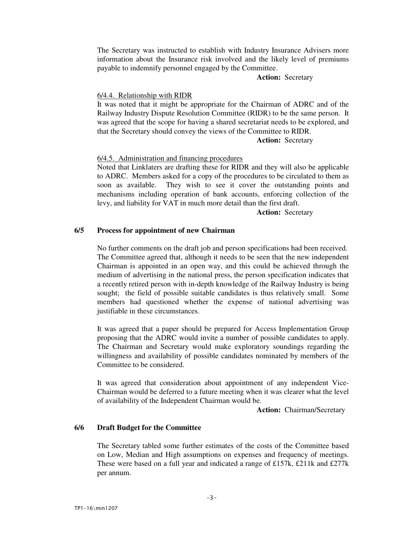The Secretary was instructed to establish with Industry Insurance Advisers more information about the Insurance risk involved and the likely level of premiums payable to indemnify personnel engaged by the Committee.

# **Action:** Secretary

#### 6/4.4. Relationship with RIDR

It was noted that it might be appropriate for the Chairman of ADRC and of the Railway Industry Dispute Resolution Committee (RIDR) to be the same person. It was agreed that the scope for having a shared secretariat needs to be explored, and that the Secretary should convey the views of the Committee to RIDR.

#### **Action:** Secretary

#### 6/4.5. Administration and financing procedures

Noted that Linklaters are drafting these for RIDR and they will also be applicable to ADRC. Members asked for a copy of the procedures to be circulated to them as soon as available. They wish to see it cover the outstanding points and mechanisms including operation of bank accounts, enforcing collection of the levy, and liability for VAT in much more detail than the first draft.

#### **Action:** Secretary

### **6/5 Process for appointment of new Chairman**

No further comments on the draft job and person specifications had been received. The Committee agreed that, although it needs to be seen that the new independent Chairman is appointed in an open way, and this could be achieved through the medium of advertising in the national press, the person specification indicates that a recently retired person with in-depth knowledge of the Railway Industry is being sought; the field of possible suitable candidates is thus relatively small. Some members had questioned whether the expense of national advertising was justifiable in these circumstances.

It was agreed that a paper should be prepared for Access Implementation Group proposing that the ADRC would invite a number of possible candidates to apply. The Chairman and Secretary would make exploratory soundings regarding the willingness and availability of possible candidates nominated by members of the Committee to be considered.

It was agreed that consideration about appointment of any independent Vice-Chairman would be deferred to a future meeting when it was clearer what the level of availability of the Independent Chairman would be.

**Action:** Chairman/Secretary

# **6/6 Draft Budget for the Committee**

The Secretary tabled some further estimates of the costs of the Committee based on Low, Median and High assumptions on expenses and frequency of meetings. These were based on a full year and indicated a range of £157k, £211k and £277k per annum.